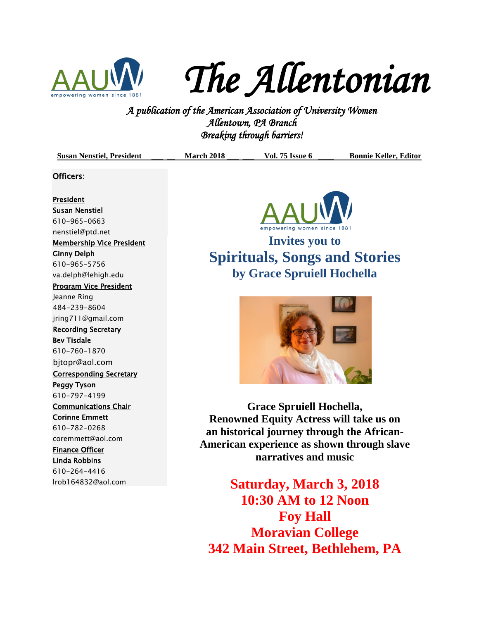

*The Allentonian* 

**A PUC FLUC FLUC FUNITY**<br>*A publication of the American Association of University Women*<br><sup>2</sup> *A publication of the American Association of University Women Allentown, PA Branch Breaking through barriers!* 

| Allentown, YA Branch<br>Breaking through barriers!                                                                                                                                                                                                                                                                                                                                           |                   |                                                                                                                                                                                                                                  |                              |
|----------------------------------------------------------------------------------------------------------------------------------------------------------------------------------------------------------------------------------------------------------------------------------------------------------------------------------------------------------------------------------------------|-------------------|----------------------------------------------------------------------------------------------------------------------------------------------------------------------------------------------------------------------------------|------------------------------|
| <b>Susan Nenstiel, President</b>                                                                                                                                                                                                                                                                                                                                                             | <b>March 2018</b> | <b>Vol. 75 Issue 6</b>                                                                                                                                                                                                           | <b>Bonnie Keller, Editor</b> |
| Officers:                                                                                                                                                                                                                                                                                                                                                                                    |                   |                                                                                                                                                                                                                                  |                              |
| <b>President</b><br><b>Susan Nenstiel</b><br>610-965-0663<br>nenstiel@ptd.net<br><b>Membership Vice President</b><br><b>Ginny Delph</b><br>610-965-5756<br>va.delph@lehigh.edu<br><b>Program Vice President</b><br>Jeanne Ring<br>484-239-8604<br>jring711@gmail.com<br><b>Recording Secretary</b><br><b>Bev Tisdale</b><br>610-760-1870<br>bjtopr@aol.com<br><b>Corresponding Secretary</b> |                   | empowering women since<br><b>Invites you to</b><br><b>Spirituals, Songs and Stories</b><br>by Grace Spruiell Hochella                                                                                                            |                              |
| 610-797-4199<br><b>Communications Chair</b><br><b>Corinne Emmett</b><br>610-782-0268<br>coremmett@aol.com<br><b>Finance Officer</b><br>Linda Robbins<br>610-264-4416<br>Irob164832@aol.com                                                                                                                                                                                                   |                   | Grace Spruiell Hochella,<br><b>Renowned Equity Actress will take us on</b><br>an historical journey through the African-<br>American experience as shown through slave<br>narratives and music<br><b>Saturday, March 3, 2018</b> |                              |
|                                                                                                                                                                                                                                                                                                                                                                                              |                   | 10:30 AM to 12 Noon<br><b>Foy Hall</b>                                                                                                                                                                                           |                              |

**Moravian College 342 Main Street, Bethlehem, PA**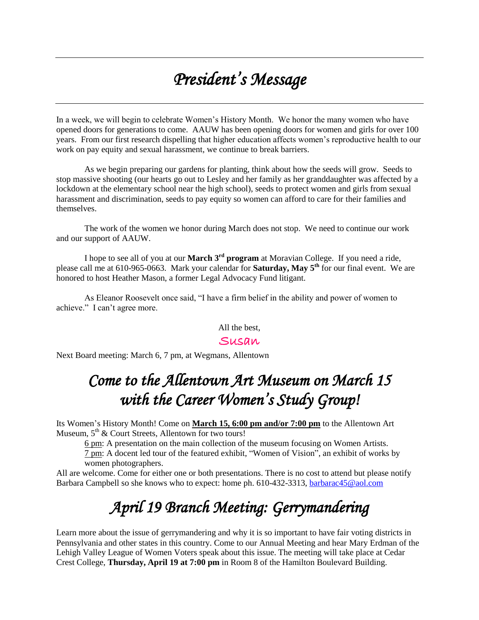# *President's Message*

In a week, we will begin to celebrate Women's History Month. We honor the many women who have opened doors for generations to come. AAUW has been opening doors for women and girls for over 100 years. From our first research dispelling that higher education affects women's reproductive health to our work on pay equity and sexual harassment, we continue to break barriers.

As we begin preparing our gardens for planting, think about how the seeds will grow. Seeds to stop massive shooting (our hearts go out to Lesley and her family as her granddaughter was affected by a lockdown at the elementary school near the high school), seeds to protect women and girls from sexual harassment and discrimination, seeds to pay equity so women can afford to care for their families and themselves.

The work of the women we honor during March does not stop. We need to continue our work and our support of AAUW.

I hope to see all of you at our **March 3rd program** at Moravian College. If you need a ride, please call me at 610-965-0663. Mark your calendar for **Saturday, May 5th** for our final event. We are honored to host Heather Mason, a former Legal Advocacy Fund litigant.

As Eleanor Roosevelt once said, "I have a firm belief in the ability and power of women to achieve." I can't agree more.

All the best,

#### Susan

Next Board meeting: March 6, 7 pm, at Wegmans, Allentown

## *Come to the Allentown Art Museum on March 15 with the Career Women's Study Group!*

Its Women's History Month! Come on **March 15, 6:00 pm and/or 7:00 pm** to the Allentown Art Museum, 5<sup>th</sup> & Court Streets, Allentown for two tours!

6 pm: A presentation on the main collection of the museum focusing on Women Artists. 7 pm: A docent led tour of the featured exhibit, "Women of Vision", an exhibit of works by women photographers.

All are welcome. Come for either one or both presentations. There is no cost to attend but please notify Barbara Campbell so she knows who to expect: home ph. 610-432-3313, [barbarac45@aol.com](mailto:barbarac45@aol.com)

# *April 19 Branch Meeting: Gerrymandering*

Learn more about the issue of gerrymandering and why it is so important to have fair voting districts in Pennsylvania and other states in this country. Come to our Annual Meeting and hear Mary Erdman of the Lehigh Valley League of Women Voters speak about this issue. The meeting will take place at Cedar Crest College, **Thursday, April 19 at 7:00 pm** in Room 8 of the Hamilton Boulevard Building.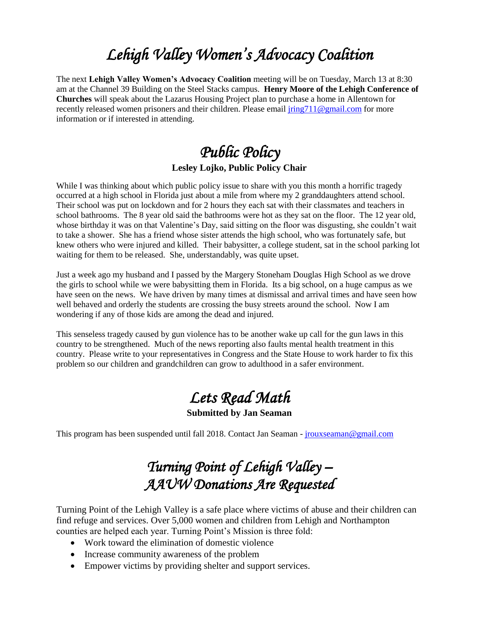# *Lehigh Valley Women's Advocacy Coalition*

The next **Lehigh Valley Women's Advocacy Coalition** meeting will be on Tuesday, March 13 at 8:30 am at the Channel 39 Building on the Steel Stacks campus. **Henry Moore of the Lehigh Conference of Churches** will speak about the Lazarus Housing Project plan to purchase a home in Allentown for recently released women prisoners and their children. Please email  $\frac{\text{ring}}{11}$  @gmail.com for more information or if interested in attending.

### *Public Policy*  **Lesley Lojko, Public Policy Chair**

While I was thinking about which public policy issue to share with you this month a horrific tragedy occurred at a high school in Florida just about a mile from where my 2 granddaughters attend school. Their school was put on lockdown and for 2 hours they each sat with their classmates and teachers in school bathrooms. The 8 year old said the bathrooms were hot as they sat on the floor. The 12 year old, whose birthday it was on that Valentine's Day, said sitting on the floor was disgusting, she couldn't wait to take a shower. She has a friend whose sister attends the high school, who was fortunately safe, but knew others who were injured and killed. Their babysitter, a college student, sat in the school parking lot waiting for them to be released. She, understandably, was quite upset.

Just a week ago my husband and I passed by the Margery Stoneham Douglas High School as we drove the girls to school while we were babysitting them in Florida. Its a big school, on a huge campus as we have seen on the news. We have driven by many times at dismissal and arrival times and have seen how well behaved and orderly the students are crossing the busy streets around the school. Now I am wondering if any of those kids are among the dead and injured.

This senseless tragedy caused by gun violence has to be another wake up call for the gun laws in this country to be strengthened. Much of the news reporting also faults mental health treatment in this country. Please write to your representatives in Congress and the State House to work harder to fix this problem so our children and grandchildren can grow to adulthood in a safer environment.

# *Lets Read Math*

**Submitted by Jan Seaman**

This program has been suspended until fall 2018. Contact Jan Seaman - [jrouxseaman@gmail.com](mailto:jrouxseaman@gmail.com)

### *Turning Point of Lehigh Valley – AAUW Donations Are Requested*

Turning Point of the Lehigh Valley is a safe place where victims of abuse and their children can find refuge and services. Over 5,000 women and children from Lehigh and Northampton counties are helped each year. Turning Point's Mission is three fold:

- Work toward the elimination of domestic violence
- Increase community awareness of the problem
- Empower victims by providing shelter and support services.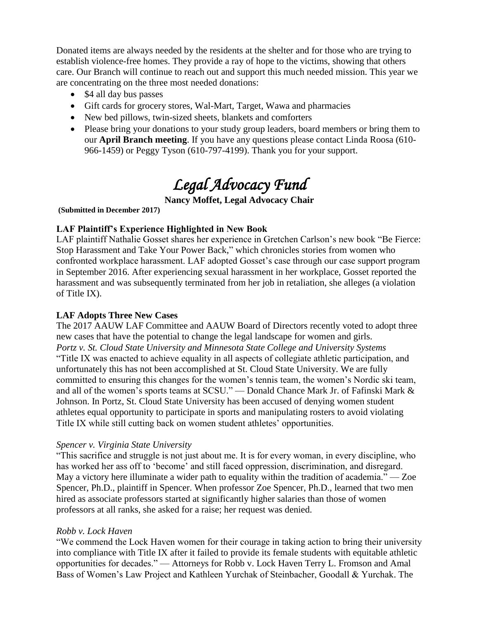Donated items are always needed by the residents at the shelter and for those who are trying to establish violence-free homes. They provide a ray of hope to the victims, showing that others care. Our Branch will continue to reach out and support this much needed mission. This year we are concentrating on the three most needed donations:

- \$4 all day bus passes
- Gift cards for grocery stores, Wal-Mart, Target, Wawa and pharmacies
- New bed pillows, twin-sized sheets, blankets and comforters
- Please bring your donations to your study group leaders, board members or bring them to our **April Branch meeting**. If you have any questions please contact Linda Roosa (610- 966-1459) or Peggy Tyson (610-797-4199). Thank you for your support.

# *Legal Advocacy Fund*

### **Nancy Moffet, Legal Advocacy Chair**

**(Submitted in December 2017)**

### **LAF Plaintiff's Experience Highlighted in New Book**

LAF plaintiff Nathalie Gosset shares her experience in Gretchen Carlson's new book "Be Fierce: Stop Harassment and Take Your Power Back," which chronicles stories from women who confronted workplace harassment. LAF adopted Gosset's case through our case support program in September 2016. After experiencing sexual harassment in her workplace, Gosset reported the harassment and was subsequently terminated from her job in retaliation, she alleges (a violation of Title IX).

#### **LAF Adopts Three New Cases**

The 2017 AAUW LAF Committee and AAUW Board of Directors recently voted to adopt three new cases that have the potential to change the legal landscape for women and girls. *Portz v. St. Cloud State University and Minnesota State College and University Systems*  "Title IX was enacted to achieve equality in all aspects of collegiate athletic participation, and unfortunately this has not been accomplished at St. Cloud State University. We are fully committed to ensuring this changes for the women's tennis team, the women's Nordic ski team, and all of the women's sports teams at SCSU." — Donald Chance Mark Jr. of Fafinski Mark & Johnson. In Portz, St. Cloud State University has been accused of denying women student athletes equal opportunity to participate in sports and manipulating rosters to avoid violating Title IX while still cutting back on women student athletes' opportunities.

#### *Spencer v. Virginia State University*

"This sacrifice and struggle is not just about me. It is for every woman, in every discipline, who has worked her ass off to 'become' and still faced oppression, discrimination, and disregard. May a victory here illuminate a wider path to equality within the tradition of academia." — Zoe Spencer, Ph.D., plaintiff in Spencer. When professor Zoe Spencer, Ph.D., learned that two men hired as associate professors started at significantly higher salaries than those of women professors at all ranks, she asked for a raise; her request was denied.

#### *Robb v. Lock Haven*

"We commend the Lock Haven women for their courage in taking action to bring their university into compliance with Title IX after it failed to provide its female students with equitable athletic opportunities for decades." — Attorneys for Robb v. Lock Haven Terry L. Fromson and Amal Bass of Women's Law Project and Kathleen Yurchak of Steinbacher, Goodall & Yurchak. The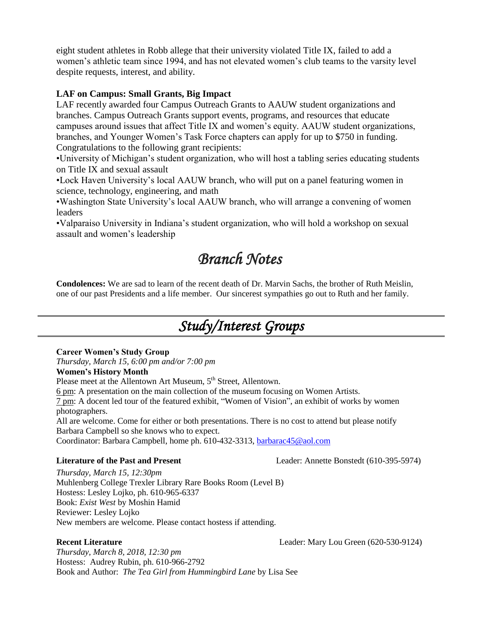eight student athletes in Robb allege that their university violated Title IX, failed to add a women's athletic team since 1994, and has not elevated women's club teams to the varsity level despite requests, interest, and ability.

#### **LAF on Campus: Small Grants, Big Impact**

LAF recently awarded four Campus Outreach Grants to AAUW student organizations and branches. Campus Outreach Grants support events, programs, and resources that educate campuses around issues that affect Title IX and women's equity. AAUW student organizations, branches, and Younger Women's Task Force chapters can apply for up to \$750 in funding. Congratulations to the following grant recipients:

•University of Michigan's student organization, who will host a tabling series educating students on Title IX and sexual assault

•Lock Haven University's local AAUW branch, who will put on a panel featuring women in science, technology, engineering, and math

•Washington State University's local AAUW branch, who will arrange a convening of women leaders

•Valparaiso University in Indiana's student organization, who will hold a workshop on sexual assault and women's leadership

### *Branch Notes*

**Condolences:** We are sad to learn of the recent death of Dr. Marvin Sachs, the brother of Ruth Meislin, one of our past Presidents and a life member. Our sincerest sympathies go out to Ruth and her family.

### *Study/Interest Groups*

#### **Career Women's Study Group**

*Thursday, March 15, 6:00 pm and/or 7:00 pm* **Women's History Month** Please meet at the Allentown Art Museum, 5<sup>th</sup> Street, Allentown. 6 pm: A presentation on the main collection of the museum focusing on Women Artists. 7 pm: A docent led tour of the featured exhibit, "Women of Vision", an exhibit of works by women photographers. All are welcome. Come for either or both presentations. There is no cost to attend but please notify Barbara Campbell so she knows who to expect. Coordinator: Barbara Campbell, home ph. 610-432-3313, [barbarac45@aol.com](mailto:barbarac45@aol.com)

**Literature of the Past and Present** Leader: Annette Bonstedt (610-395-5974)

*Thursday, March 15, 12:30pm* Muhlenberg College Trexler Library Rare Books Room (Level B) Hostess: Lesley Lojko, ph. 610-965-6337 Book: *Exist West* by Moshin Hamid Reviewer: Lesley Lojko New members are welcome. Please contact hostess if attending.

**Recent Literature** Leader: Mary Lou Green (620-530-9124)

*Thursday, March 8, 2018, 12:30 pm* Hostess: Audrey Rubin, ph. 610-966-2792 Book and Author: *The Tea Girl from Hummingbird Lane* by Lisa See